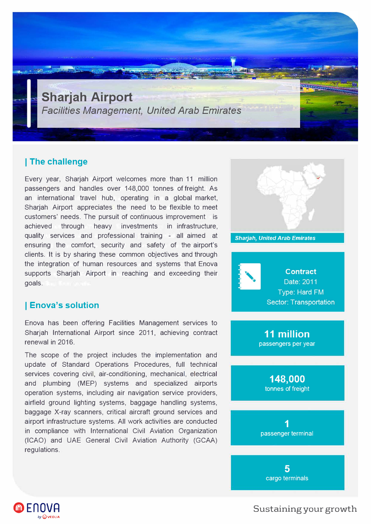

## **I The challenge**

Every year, Sharjah Airport welcomes more than 11 million passengers and handles over 148,000 tonnes of freight. As an international travel hub, operating in a global market, Sharjah Airport appreciates the need to be flexible to meet customers' needs. The pursuit of continuous improvement is achieved through heavy investments in infrastructure, quality services and professional training - all aimed at ensuring the comfort, security and safety of the airport's clients. It is by sharing these common objectives and through the integration of human resources and systems that Enova supports Sharjah Airport in reaching and exceeding their goals.

## **I Enova's solution**

**@EnOVA** 

**byG)veouA** 

Enova has been offering Facilities Management services to Sharjah International Airport since 2011, achieving contract renewal in 2016.

The scope of the project includes the implementation and update of Standard Operations Procedures, full technical services covering civil, air-conditioning, mechanical, electrical and plumbing (MEP) systems and specialized airports operation systems, including air navigation service providers, airfield ground lighting systems, baggage handling systems, baggage X-ray scanners, critical aircraft ground services and airport infrastructure systems. All work activities are conducted in compliance with International Civil Aviation Organization (ICAO) and UAE General Civil Aviation Authority (GCAA) regulations.